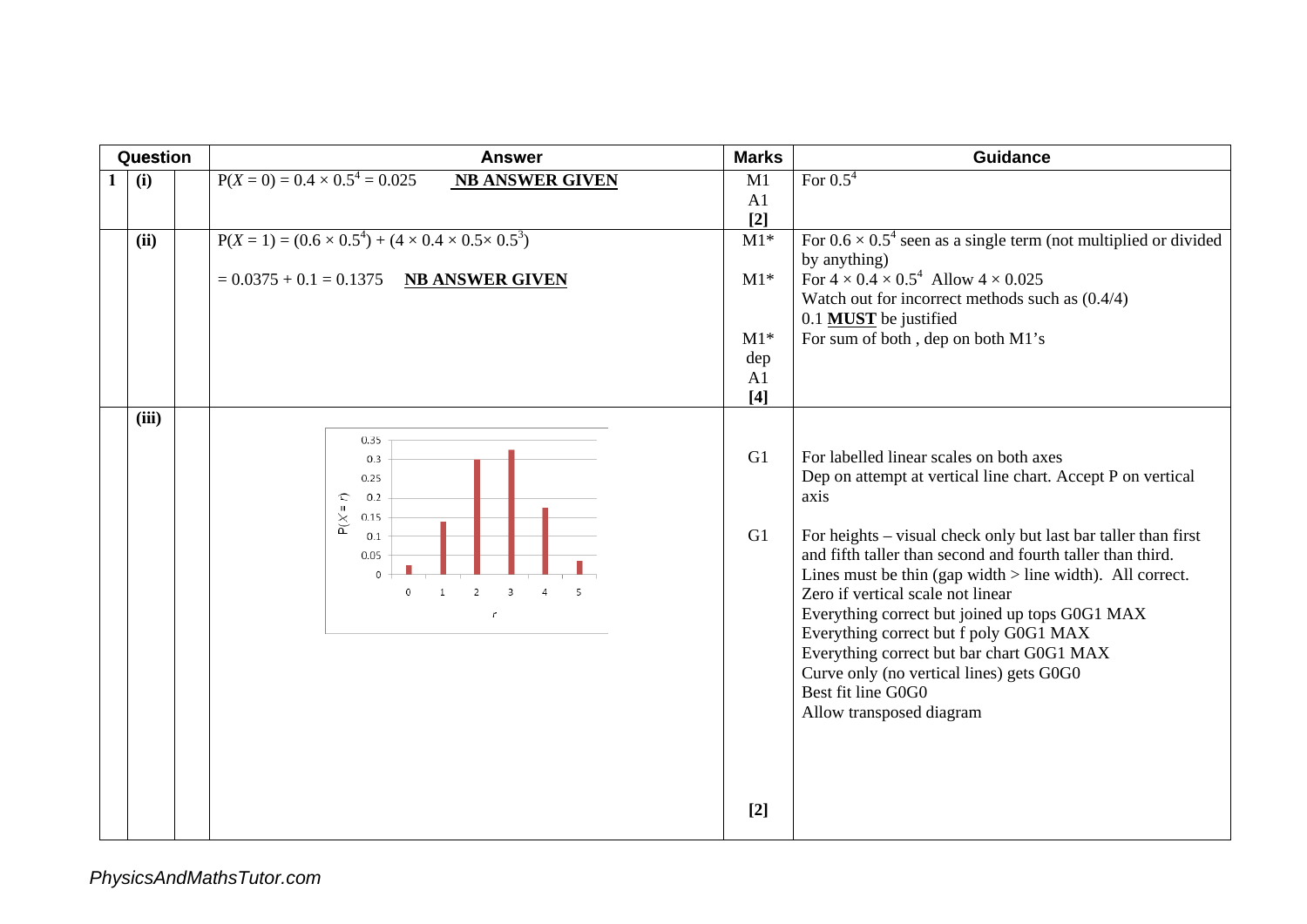| Question | <b>Answer</b>                                                                                                                                                                                         | <b>Marks</b>   | <b>Guidance</b>                                                                                                                                                                                                                                                                                                                                                                                                                                                                                                                                                                           |
|----------|-------------------------------------------------------------------------------------------------------------------------------------------------------------------------------------------------------|----------------|-------------------------------------------------------------------------------------------------------------------------------------------------------------------------------------------------------------------------------------------------------------------------------------------------------------------------------------------------------------------------------------------------------------------------------------------------------------------------------------------------------------------------------------------------------------------------------------------|
| (i)      | $P(X = 0) = 0.4 \times 0.5^4 = 0.025$<br><b>NB ANSWER GIVEN</b>                                                                                                                                       | M1             | For $0.5^4$                                                                                                                                                                                                                                                                                                                                                                                                                                                                                                                                                                               |
|          |                                                                                                                                                                                                       | A1<br>$[2]$    |                                                                                                                                                                                                                                                                                                                                                                                                                                                                                                                                                                                           |
| (ii)     | $P(X = 1) = (0.6 \times 0.5^{4}) + (4 \times 0.4 \times 0.5 \times 0.5^{3})$<br>$= 0.0375 + 0.1 = 0.1375$ NB ANSWER GIVEN                                                                             | $M1*$<br>$M1*$ | For $0.6 \times 0.5^4$ seen as a single term (not multiplied or divided<br>by anything)<br>For $4 \times 0.4 \times 0.5^4$ Allow $4 \times 0.025$                                                                                                                                                                                                                                                                                                                                                                                                                                         |
|          |                                                                                                                                                                                                       |                | Watch out for incorrect methods such as $(0.4/4)$<br>0.1 MUST be justified                                                                                                                                                                                                                                                                                                                                                                                                                                                                                                                |
|          |                                                                                                                                                                                                       | $M1*$          | For sum of both, dep on both M1's                                                                                                                                                                                                                                                                                                                                                                                                                                                                                                                                                         |
|          |                                                                                                                                                                                                       | dep<br>A1      |                                                                                                                                                                                                                                                                                                                                                                                                                                                                                                                                                                                           |
|          |                                                                                                                                                                                                       | $[4]$          |                                                                                                                                                                                                                                                                                                                                                                                                                                                                                                                                                                                           |
| (iii)    | 0.35<br>0.3<br>0.25<br>0.2<br>L<br>$P(X =$<br>0.15<br>0.1<br>0.05<br>$\mathbf{0}$<br>$\overline{2}$<br>$\bf{0}$<br>$\mathbf{1}$<br>$\overline{3}$<br>$\overline{4}$<br>$\overline{5}$<br>$\mathbf{r}$ | G1<br>G1       | For labelled linear scales on both axes<br>Dep on attempt at vertical line chart. Accept P on vertical<br>axis<br>For heights – visual check only but last bar taller than first<br>and fifth taller than second and fourth taller than third.<br>Lines must be thin (gap width $>$ line width). All correct.<br>Zero if vertical scale not linear<br>Everything correct but joined up tops G0G1 MAX<br>Everything correct but f poly G0G1 MAX<br>Everything correct but bar chart G0G1 MAX<br>Curve only (no vertical lines) gets G0G0<br>Best fit line G0G0<br>Allow transposed diagram |
|          |                                                                                                                                                                                                       | $[2]$          |                                                                                                                                                                                                                                                                                                                                                                                                                                                                                                                                                                                           |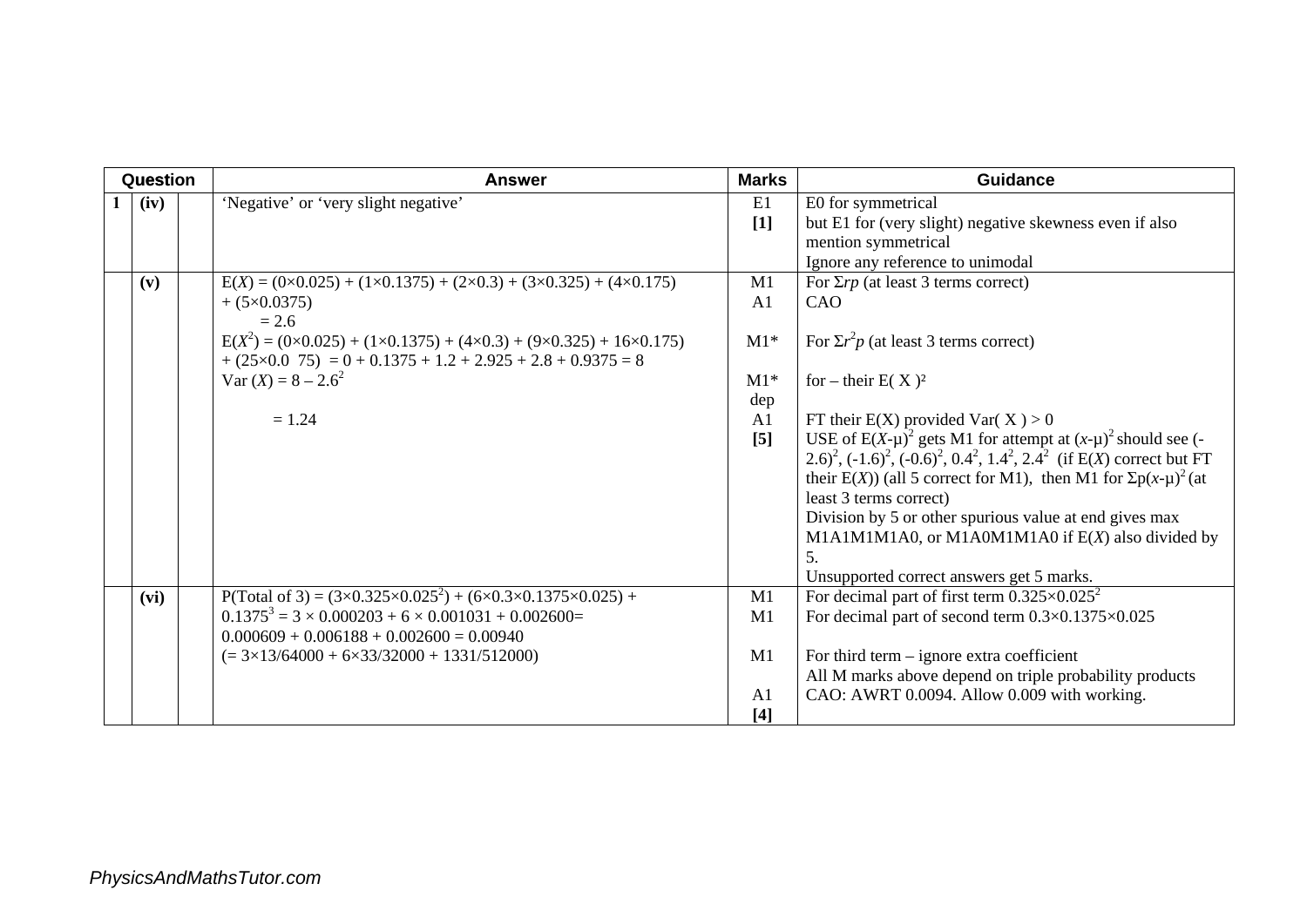| Question | <b>Answer</b>                                                                                                                                                                                                    | <b>Marks</b>                  | <b>Guidance</b>                                                                                                                                                                                                                                                                                                                                                                                                                                                                      |
|----------|------------------------------------------------------------------------------------------------------------------------------------------------------------------------------------------------------------------|-------------------------------|--------------------------------------------------------------------------------------------------------------------------------------------------------------------------------------------------------------------------------------------------------------------------------------------------------------------------------------------------------------------------------------------------------------------------------------------------------------------------------------|
| (iv)     | 'Negative' or 'very slight negative'                                                                                                                                                                             | E1<br>$[1]$                   | E0 for symmetrical<br>but E1 for (very slight) negative skewness even if also<br>mention symmetrical<br>Ignore any reference to unimodal                                                                                                                                                                                                                                                                                                                                             |
| (v)      | $E(X) = (0 \times 0.025) + (1 \times 0.1375) + (2 \times 0.3) + (3 \times 0.325) + (4 \times 0.175)$<br>$+(5\times0.0375)$<br>$= 2.6$                                                                            | M1<br>A <sub>1</sub>          | For $\Sigma r p$ (at least 3 terms correct)<br>CAO                                                                                                                                                                                                                                                                                                                                                                                                                                   |
|          | $E(X^2) = (0 \times 0.025) + (1 \times 0.1375) + (4 \times 0.3) + (9 \times 0.325) + 16 \times 0.175)$<br>$+(25\times0.075) = 0 + 0.1375 + 1.2 + 2.925 + 2.8 + 0.9375 = 8$                                       | $M1*$                         | For $\Sigma r^2 p$ (at least 3 terms correct)                                                                                                                                                                                                                                                                                                                                                                                                                                        |
|          | $Var(X) = 8 - 2.6^2$                                                                                                                                                                                             | $M1*$<br>dep                  | for – their $E(X)^2$                                                                                                                                                                                                                                                                                                                                                                                                                                                                 |
|          | $= 1.24$                                                                                                                                                                                                         | A1<br>[5]                     | FT their E(X) provided Var(X) > 0<br>USE of $E(X-\mu)^2$ gets M1 for attempt at $(x-\mu)^2$ should see (-<br>2.6) <sup>2</sup> , $(-1.6)^2$ , $(-0.6)^2$ , $0.4^2$ , $1.4^2$ , $2.4^2$ (if E(X) correct but FT<br>their E(X)) (all 5 correct for M1), then M1 for $\sum p(x-\mu)^2$ (at<br>least 3 terms correct)<br>Division by 5 or other spurious value at end gives max<br>M1A1M1M1A0, or M1A0M1M1A0 if $E(X)$ also divided by<br>5.<br>Unsupported correct answers get 5 marks. |
| (vi)     | P(Total of 3) = $(3 \times 0.325 \times 0.025^2) + (6 \times 0.3 \times 0.1375 \times 0.025) +$<br>$0.1375^3 = 3 \times 0.000203 + 6 \times 0.001031 + 0.002600 =$<br>$0.000609 + 0.006188 + 0.002600 = 0.00940$ | M1<br>M1                      | For decimal part of first term $0.325 \times 0.025^2$<br>For decimal part of second term $0.3 \times 0.1375 \times 0.025$                                                                                                                                                                                                                                                                                                                                                            |
|          | $(= 3 \times 13/64000 + 6 \times 33/32000 + 1331/512000)$                                                                                                                                                        | M1<br>A <sub>1</sub><br>$[4]$ | For third term $-$ ignore extra coefficient<br>All M marks above depend on triple probability products<br>CAO: AWRT 0.0094. Allow 0.009 with working.                                                                                                                                                                                                                                                                                                                                |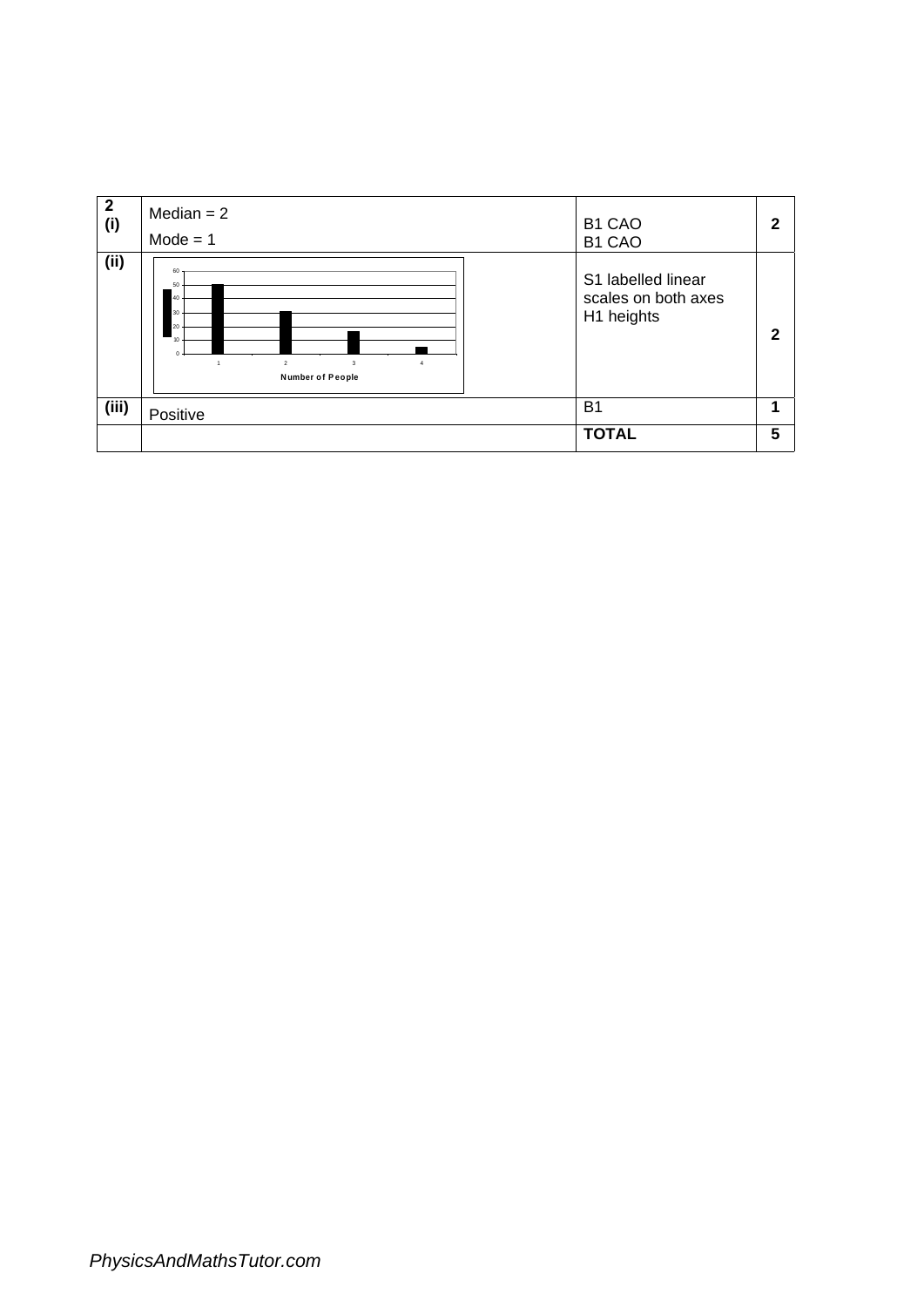| $\overline{\mathbf{2}}$<br>(i) | Median $= 2$<br>$Mode = 1$                                                         | B1 CAO<br>B1 CAO                                        | 2 |
|--------------------------------|------------------------------------------------------------------------------------|---------------------------------------------------------|---|
| (ii)                           | 60<br>50<br>40<br>30<br>20<br>10<br>$\overline{2}$<br>3<br><b>Number of People</b> | S1 labelled linear<br>scales on both axes<br>H1 heights | າ |
| (iii)                          | Positive                                                                           | <b>B1</b>                                               |   |
|                                |                                                                                    | <b>TOTAL</b>                                            | 5 |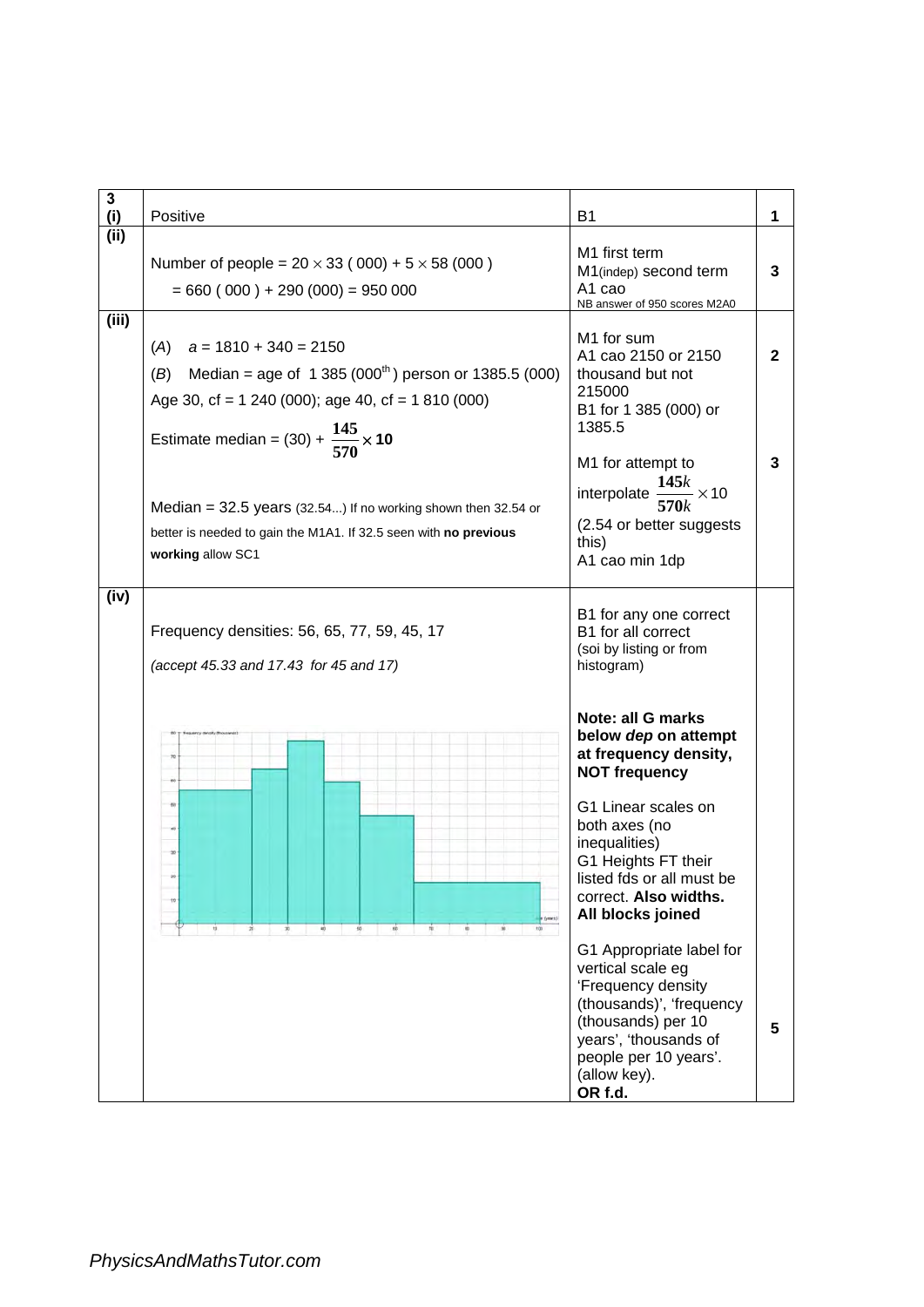| 3<br>(i) | Positive                                                                                                                                                                                                                                                                                                                                                                 | <b>B1</b>                                                                                                                                                                                                                                             | 1                 |
|----------|--------------------------------------------------------------------------------------------------------------------------------------------------------------------------------------------------------------------------------------------------------------------------------------------------------------------------------------------------------------------------|-------------------------------------------------------------------------------------------------------------------------------------------------------------------------------------------------------------------------------------------------------|-------------------|
| (ii)     | Number of people = $20 \times 33 (000) + 5 \times 58 (000)$<br>$= 660 (000) + 290 (000) = 950 000$                                                                                                                                                                                                                                                                       | M1 first term<br>M1(indep) second term<br>A <sub>1</sub> cao<br>NB answer of 950 scores M2A0                                                                                                                                                          | 3                 |
| (iii)    | $a = 1810 + 340 = 2150$<br>(A)<br>Median = age of $1\,385(000^{th})$ person or 1385.5 (000)<br>(B)<br>Age 30, cf = $1240(000)$ ; age 40, cf = $1810(000)$<br>Estimate median = (30) + $\frac{145}{570}$ × 10<br>Median = $32.5$ years (32.54) If no working shown then 32.54 or<br>better is needed to gain the M1A1. If 32.5 seen with no previous<br>working allow SC1 | M <sub>1</sub> for sum<br>A1 cao 2150 or 2150<br>thousand but not<br>215000<br>B1 for 1 385 (000) or<br>1385.5<br>M1 for attempt to<br>interpolate $\frac{145k}{570k} \times 10$<br>(2.54 or better suggests<br>this)<br>A1 cao min 1dp               | $\mathbf{2}$<br>3 |
| (iv)     | Frequency densities: 56, 65, 77, 59, 45, 17<br>(accept 45.33 and 17.43 for 45 and 17)                                                                                                                                                                                                                                                                                    | B1 for any one correct<br>B1 for all correct<br>(soi by listing or from<br>histogram)                                                                                                                                                                 |                   |
|          |                                                                                                                                                                                                                                                                                                                                                                          | Note: all G marks<br>below dep on attempt<br>at frequency density,<br><b>NOT frequency</b><br>G1 Linear scales on<br>both axes (no<br>inequalities)<br>G1 Heights FT their<br>listed fds or all must be<br>correct. Also widths.<br>All blocks joined |                   |
|          |                                                                                                                                                                                                                                                                                                                                                                          | G1 Appropriate label for<br>vertical scale eg<br>'Frequency density<br>(thousands)', 'frequency<br>(thousands) per 10<br>years', 'thousands of<br>people per 10 years'.<br>(allow key).<br>OR f.d.                                                    | 5                 |